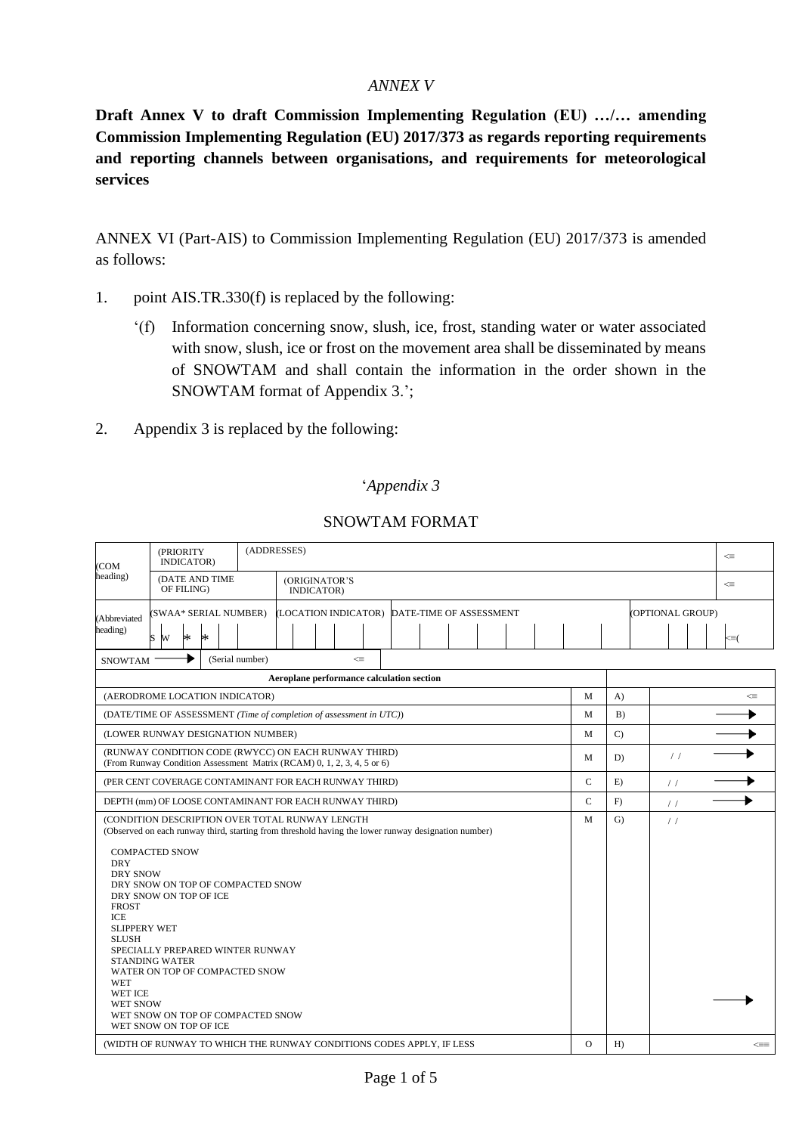## *ANNEX V*

**Draft Annex V to draft Commission Implementing Regulation (EU) …/… amending Commission Implementing Regulation (EU) 2017/373 as regards reporting requirements and reporting channels between organisations, and requirements for meteorological services**

ANNEX VI (Part-AIS) to Commission Implementing Regulation (EU) 2017/373 is amended as follows:

- 1. point AIS.TR.330(f) is replaced by the following:
	- '(f) Information concerning snow, slush, ice, frost, standing water or water associated with snow, slush, ice or frost on the movement area shall be disseminated by means of SNOWTAM and shall contain the information in the order shown in the SNOWTAM format of Appendix 3.';
- 2. Appendix 3 is replaced by the following:

## '*Appendix 3*

| (COM<br>heading)                                                                                                                                       | (PRIORITY<br>INDICATOR)                                                                                                                                                                                                                            |                                              |  | (ADDRESSES)                               |  |  |  |             |              |               |               |  |              |                  |        |  |   | $\leq$ |                 |
|--------------------------------------------------------------------------------------------------------------------------------------------------------|----------------------------------------------------------------------------------------------------------------------------------------------------------------------------------------------------------------------------------------------------|----------------------------------------------|--|-------------------------------------------|--|--|--|-------------|--------------|---------------|---------------|--|--------------|------------------|--------|--|---|--------|-----------------|
|                                                                                                                                                        | (DATE AND TIME<br>OF FILING)                                                                                                                                                                                                                       | (ORIGINATOR'S<br>INDICATOR)                  |  |                                           |  |  |  |             |              |               |               |  |              |                  | $\leq$ |  |   |        |                 |
| <b>(Abbreviated</b><br>heading)                                                                                                                        | (SWAA* SERIAL NUMBER)                                                                                                                                                                                                                              | (LOCATION INDICATOR) DATE-TIME OF ASSESSMENT |  |                                           |  |  |  |             |              |               |               |  |              | (OPTIONAL GROUP) |        |  |   |        |                 |
|                                                                                                                                                        | $\ast$<br>s w<br>$\ast$                                                                                                                                                                                                                            |                                              |  |                                           |  |  |  |             |              |               |               |  |              |                  |        |  |   |        | $\leq \equiv$ ( |
| (Serial number)<br>$\leq$<br><b>SNOWTAM</b>                                                                                                            |                                                                                                                                                                                                                                                    |                                              |  |                                           |  |  |  |             |              |               |               |  |              |                  |        |  |   |        |                 |
|                                                                                                                                                        |                                                                                                                                                                                                                                                    |                                              |  | Aeroplane performance calculation section |  |  |  |             |              |               |               |  |              |                  |        |  |   |        |                 |
| (AERODROME LOCATION INDICATOR)                                                                                                                         |                                                                                                                                                                                                                                                    |                                              |  |                                           |  |  |  |             |              | M             | A)            |  |              |                  | ⋖≡     |  |   |        |                 |
| (DATE/TIME OF ASSESSMENT (Time of completion of assessment in UTC))                                                                                    |                                                                                                                                                                                                                                                    |                                              |  |                                           |  |  |  |             |              | M             | B)            |  |              |                  |        |  |   |        |                 |
| (LOWER RUNWAY DESIGNATION NUMBER)                                                                                                                      |                                                                                                                                                                                                                                                    |                                              |  |                                           |  |  |  |             | M            | $\mathcal{C}$ |               |  |              |                  |        |  |   |        |                 |
|                                                                                                                                                        | (RUNWAY CONDITION CODE (RWYCC) ON EACH RUNWAY THIRD)<br>(From Runway Condition Assessment Matrix (RCAM) 0, 1, 2, 3, 4, 5 or 6)                                                                                                                     |                                              |  |                                           |  |  |  |             |              |               |               |  |              | M                | D)     |  | / |        |                 |
| (PER CENT COVERAGE CONTAMINANT FOR EACH RUNWAY THIRD)                                                                                                  |                                                                                                                                                                                                                                                    |                                              |  |                                           |  |  |  | $\mathbf C$ | E)           |               | $\frac{1}{2}$ |  |              |                  |        |  |   |        |                 |
| DEPTH (mm) OF LOOSE CONTAMINANT FOR EACH RUNWAY THIRD)                                                                                                 |                                                                                                                                                                                                                                                    |                                              |  |                                           |  |  |  | $\mathbf C$ | F)           |               | $\frac{1}{2}$ |  |              |                  |        |  |   |        |                 |
| (CONDITION DESCRIPTION OVER TOTAL RUNWAY LENGTH<br>(Observed on each runway third, starting from threshold having the lower runway designation number) |                                                                                                                                                                                                                                                    |                                              |  |                                           |  |  |  | M           | $\mathbf{G}$ |               | $\frac{1}{2}$ |  |              |                  |        |  |   |        |                 |
| <b>DRY</b><br><b>DRY SNOW</b><br><b>FROST</b><br>ICE<br><b>SLIPPERY WET</b><br><b>SLUSH</b><br><b>WET</b><br>WET ICE<br><b>WET SNOW</b>                | <b>COMPACTED SNOW</b><br>DRY SNOW ON TOP OF COMPACTED SNOW<br>DRY SNOW ON TOP OF ICE<br>SPECIALLY PREPARED WINTER RUNWAY<br><b>STANDING WATER</b><br>WATER ON TOP OF COMPACTED SNOW<br>WET SNOW ON TOP OF COMPACTED SNOW<br>WET SNOW ON TOP OF ICE |                                              |  |                                           |  |  |  |             |              |               |               |  |              |                  |        |  |   |        |                 |
| (WIDTH OF RUNWAY TO WHICH THE RUNWAY CONDITIONS CODES APPLY, IF LESS                                                                                   |                                                                                                                                                                                                                                                    |                                              |  |                                           |  |  |  | $\Omega$    | $H$ )        |               |               |  | $\Leftarrow$ |                  |        |  |   |        |                 |

# SNOWTAM FORMAT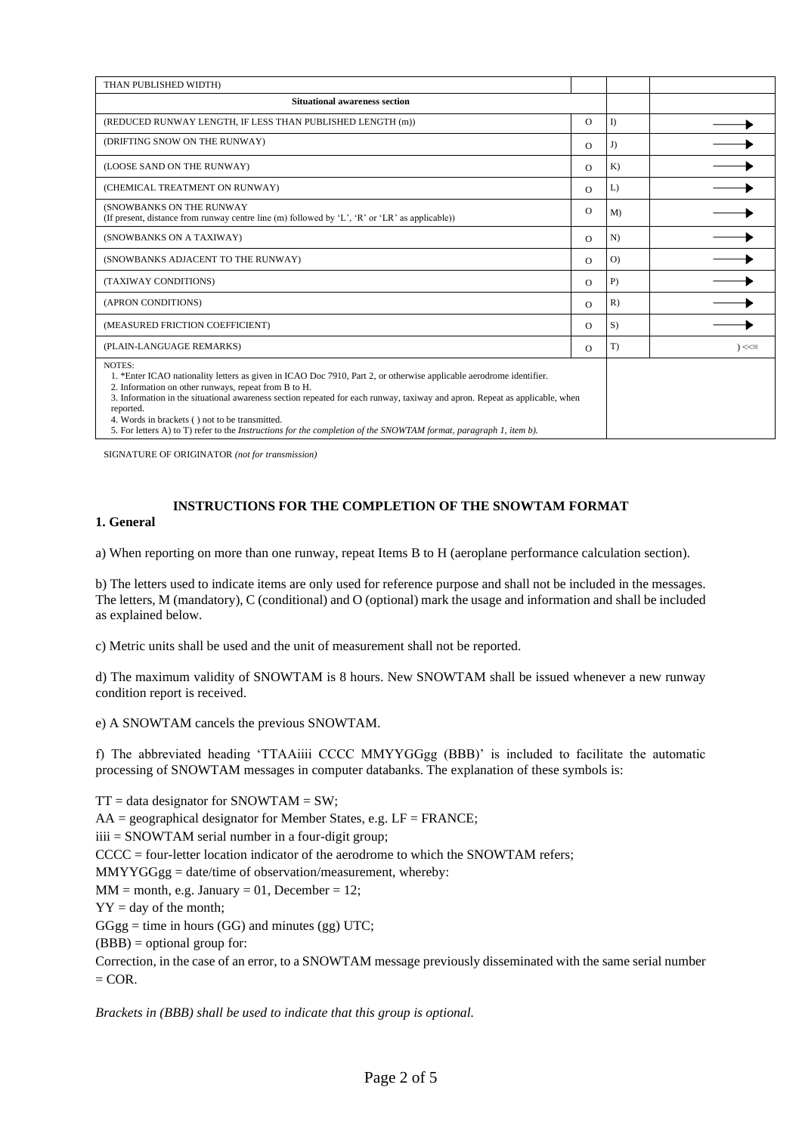| THAN PUBLISHED WIDTH)                                                                                                                                                                                                                                                                                                                                                                                                                                                                                            |          |                |            |
|------------------------------------------------------------------------------------------------------------------------------------------------------------------------------------------------------------------------------------------------------------------------------------------------------------------------------------------------------------------------------------------------------------------------------------------------------------------------------------------------------------------|----------|----------------|------------|
| <b>Situational awareness section</b>                                                                                                                                                                                                                                                                                                                                                                                                                                                                             |          |                |            |
| (REDUCED RUNWAY LENGTH, IF LESS THAN PUBLISHED LENGTH (m))                                                                                                                                                                                                                                                                                                                                                                                                                                                       | $\circ$  | I)             |            |
| (DRIFTING SNOW ON THE RUNWAY)                                                                                                                                                                                                                                                                                                                                                                                                                                                                                    | $\Omega$ | J)             |            |
| (LOOSE SAND ON THE RUNWAY)                                                                                                                                                                                                                                                                                                                                                                                                                                                                                       | $\Omega$ | $K$ )          |            |
| (CHEMICAL TREATMENT ON RUNWAY)                                                                                                                                                                                                                                                                                                                                                                                                                                                                                   | $\circ$  | L)             |            |
| (SNOWBANKS ON THE RUNWAY<br>(If present, distance from runway centre line $(m)$ followed by 'L', 'R' or 'LR' as applicable))                                                                                                                                                                                                                                                                                                                                                                                     | $\Omega$ | M <sub>0</sub> |            |
| (SNOWBANKS ON A TAXIWAY)                                                                                                                                                                                                                                                                                                                                                                                                                                                                                         | $\Omega$ | N              |            |
| (SNOWBANKS ADJACENT TO THE RUNWAY)                                                                                                                                                                                                                                                                                                                                                                                                                                                                               | $\circ$  | O              |            |
| (TAXIWAY CONDITIONS)                                                                                                                                                                                                                                                                                                                                                                                                                                                                                             | $\Omega$ | $P$ )          |            |
| (APRON CONDITIONS)                                                                                                                                                                                                                                                                                                                                                                                                                                                                                               | $\Omega$ | R)             |            |
| (MEASURED FRICTION COEFFICIENT)                                                                                                                                                                                                                                                                                                                                                                                                                                                                                  | $\circ$  | S)             |            |
| (PLAIN-LANGUAGE REMARKS)                                                                                                                                                                                                                                                                                                                                                                                                                                                                                         | $\Omega$ | T)             | $\leq\leq$ |
| NOTES:<br>1. *Enter ICAO nationality letters as given in ICAO Doc 7910, Part 2, or otherwise applicable aerodrome identifier.<br>2. Information on other runways, repeat from B to H.<br>3. Information in the situational awareness section repeated for each runway, taxiway and apron. Repeat as applicable, when<br>reported.<br>4. Words in brackets () not to be transmitted.<br>5. For letters A) to T) refer to the <i>Instructions for the completion of the SNOWTAM format, paragraph 1, item b</i> ). |          |                |            |

SIGNATURE OF ORIGINATOR *(not for transmission)*

### **INSTRUCTIONS FOR THE COMPLETION OF THE SNOWTAM FORMAT**

### **1. General**

a) When reporting on more than one runway, repeat Items B to H (aeroplane performance calculation section).

b) The letters used to indicate items are only used for reference purpose and shall not be included in the messages. The letters, M (mandatory), C (conditional) and O (optional) mark the usage and information and shall be included as explained below.

c) Metric units shall be used and the unit of measurement shall not be reported.

d) The maximum validity of SNOWTAM is 8 hours. New SNOWTAM shall be issued whenever a new runway condition report is received.

e) A SNOWTAM cancels the previous SNOWTAM.

f) The abbreviated heading 'TTAAiiii CCCC MMYYGGgg (BBB)' is included to facilitate the automatic processing of SNOWTAM messages in computer databanks. The explanation of these symbols is:

 $TT = data$  designator for SNOWTAM = SW;  $AA =$  geographical designator for Member States, e.g.  $LF = FRANCE$ ; iiii = SNOWTAM serial number in a four-digit group; CCCC = four-letter location indicator of the aerodrome to which the SNOWTAM refers; MMYYGGgg = date/time of observation/measurement, whereby:  $MM = month, e.g. January = 01, December = 12;$  $YY = day$  of the month;  $GGgg =$  time in hours  $(GG)$  and minutes  $(gg)$  UTC;  $(BBB) =$  optional group for: Correction, in the case of an error, to a SNOWTAM message previously disseminated with the same serial number  $=$  COR.

*Brackets in (BBB) shall be used to indicate that this group is optional.*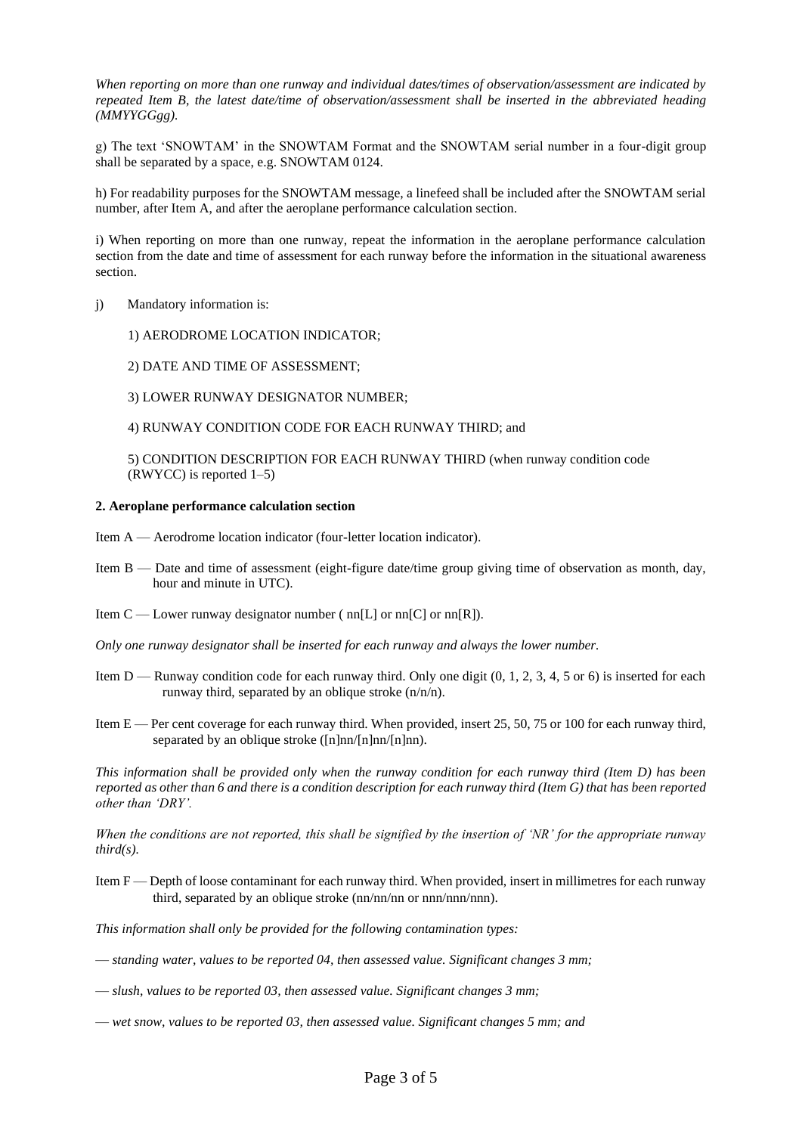*When reporting on more than one runway and individual dates/times of observation/assessment are indicated by repeated Item B, the latest date/time of observation/assessment shall be inserted in the abbreviated heading (MMYYGGgg).* 

g) The text 'SNOWTAM' in the SNOWTAM Format and the SNOWTAM serial number in a four-digit group shall be separated by a space, e.g. SNOWTAM 0124.

h) For readability purposes for the SNOWTAM message, a linefeed shall be included after the SNOWTAM serial number, after Item A, and after the aeroplane performance calculation section.

i) When reporting on more than one runway, repeat the information in the aeroplane performance calculation section from the date and time of assessment for each runway before the information in the situational awareness section.

- j) Mandatory information is:
	- 1) AERODROME LOCATION INDICATOR;
	- 2) DATE AND TIME OF ASSESSMENT;
	- 3) LOWER RUNWAY DESIGNATOR NUMBER;
	- 4) RUNWAY CONDITION CODE FOR EACH RUNWAY THIRD; and

5) CONDITION DESCRIPTION FOR EACH RUNWAY THIRD (when runway condition code (RWYCC) is reported 1–5)

#### **2. Aeroplane performance calculation section**

- Item A Aerodrome location indicator (four-letter location indicator).
- Item B Date and time of assessment (eight-figure date/time group giving time of observation as month, day, hour and minute in UTC).
- Item  $C$  Lower runway designator number ( nn[L] or nn[C] or nn[R]).
- *Only one runway designator shall be inserted for each runway and always the lower number.*
- Item  $D$  Runway condition code for each runway third. Only one digit  $(0, 1, 2, 3, 4, 5)$  or 6) is inserted for each runway third, separated by an oblique stroke (n/n/n).
- Item E Per cent coverage for each runway third. When provided, insert 25, 50, 75 or 100 for each runway third, separated by an oblique stroke ( $[n]nn/[n]nn$ ).

*This information shall be provided only when the runway condition for each runway third (Item D) has been reported as other than 6 and there is a condition description for each runway third (Item G) that has been reported other than 'DRY'.* 

*When the conditions are not reported, this shall be signified by the insertion of 'NR' for the appropriate runway third(s).* 

Item F — Depth of loose contaminant for each runway third. When provided, insert in millimetres for each runway third, separated by an oblique stroke (nn/nn/nn or nnn/nnn/nnn).

*This information shall only be provided for the following contamination types:* 

- *standing water, values to be reported 04, then assessed value. Significant changes 3 mm;*
- *slush, values to be reported 03, then assessed value. Significant changes 3 mm;*
- *wet snow, values to be reported 03, then assessed value. Significant changes 5 mm; and*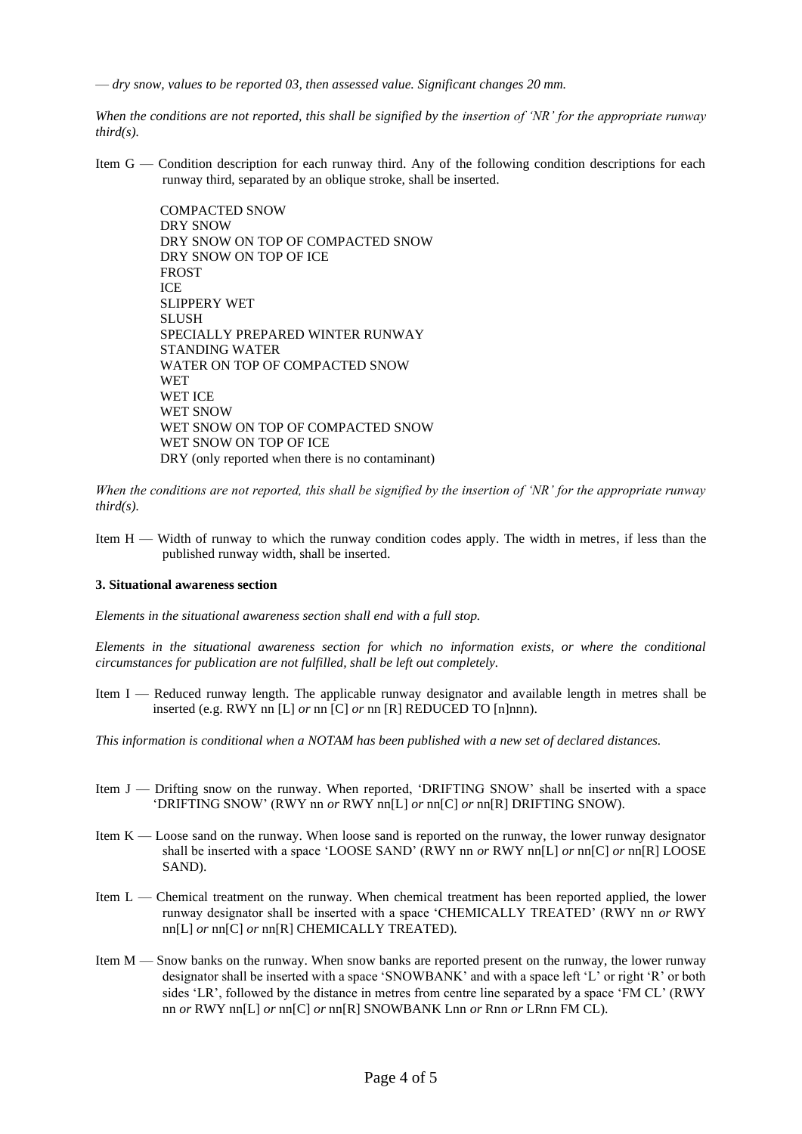— *dry snow, values to be reported 03, then assessed value. Significant changes 20 mm.* 

*When the conditions are not reported, this shall be signified by the insertion of 'NR' for the appropriate runway third(s).*

Item G — Condition description for each runway third. Any of the following condition descriptions for each runway third, separated by an oblique stroke, shall be inserted.

> COMPACTED SNOW DRY SNOW DRY SNOW ON TOP OF COMPACTED SNOW DRY SNOW ON TOP OF ICE FROST ICE SLIPPERY WET **SLUSH** SPECIALLY PREPARED WINTER RUNWAY STANDING WATER WATER ON TOP OF COMPACTED SNOW WET WET ICE WET SNOW WET SNOW ON TOP OF COMPACTED SNOW WET SNOW ON TOP OF ICE DRY (only reported when there is no contaminant)

*When the conditions are not reported, this shall be signified by the insertion of 'NR' for the appropriate runway third(s).*

Item  $H - W<sub>i</sub>$  idth of runway to which the runway condition codes apply. The width in metres, if less than the published runway width, shall be inserted.

#### **3. Situational awareness section**

*Elements in the situational awareness section shall end with a full stop.* 

*Elements in the situational awareness section for which no information exists, or where the conditional circumstances for publication are not fulfilled, shall be left out completely.* 

- Item I Reduced runway length. The applicable runway designator and available length in metres shall be inserted (e.g. RWY nn [L] *or* nn [C] *or* nn [R] REDUCED TO [n]nnn).
- *This information is conditional when a NOTAM has been published with a new set of declared distances.*
- Item J Drifting snow on the runway. When reported, 'DRIFTING SNOW' shall be inserted with a space 'DRIFTING SNOW' (RWY nn *or* RWY nn[L] *or* nn[C] *or* nn[R] DRIFTING SNOW).
- Item  $K -$  Loose sand on the runway. When loose sand is reported on the runway, the lower runway designator shall be inserted with a space 'LOOSE SAND' (RWY nn *or* RWY nn[L] *or* nn[C] *or* nn[R] LOOSE SAND).
- Item L Chemical treatment on the runway. When chemical treatment has been reported applied, the lower runway designator shall be inserted with a space 'CHEMICALLY TREATED' (RWY nn *or* RWY nn[L] *or* nn[C] *or* nn[R] CHEMICALLY TREATED).
- Item M Snow banks on the runway. When snow banks are reported present on the runway, the lower runway designator shall be inserted with a space 'SNOWBANK' and with a space left 'L' or right 'R' or both sides 'LR', followed by the distance in metres from centre line separated by a space 'FM CL' (RWY nn *or* RWY nn[L] *or* nn[C] *or* nn[R] SNOWBANK Lnn *or* Rnn *or* LRnn FM CL).